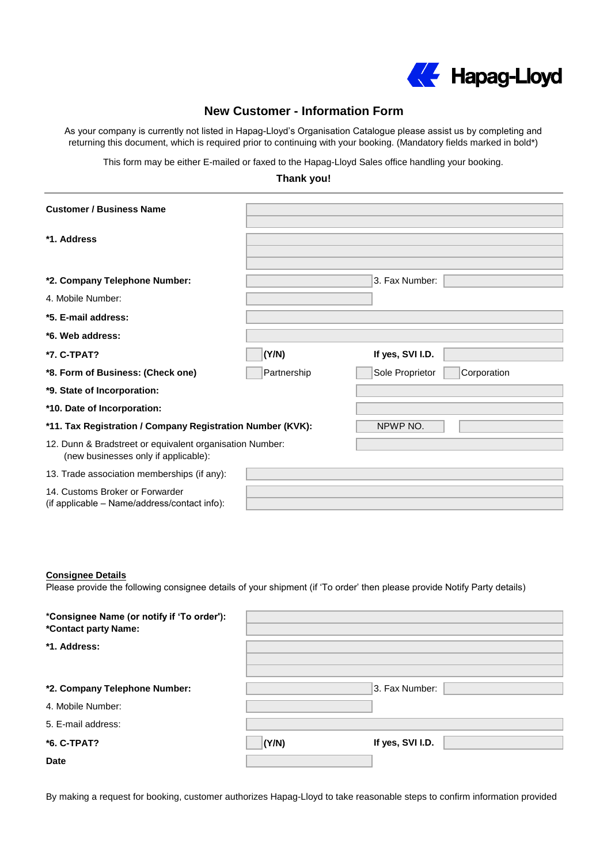

## **New Customer - Information Form**

As your company is currently not listed in Hapag-Lloyd's Organisation Catalogue please assist us by completing and returning this document, which is required prior to continuing with your booking. (Mandatory fields marked in bold\*)

This form may be either E-mailed or faxed to the Hapag-Lloyd Sales office handling your booking.

## **Thank you!**

| <b>Customer / Business Name</b>                                                                  |             |                                |
|--------------------------------------------------------------------------------------------------|-------------|--------------------------------|
| *1. Address                                                                                      |             |                                |
| *2. Company Telephone Number:                                                                    |             | 3. Fax Number:                 |
| 4. Mobile Number:                                                                                |             |                                |
| *5. E-mail address:                                                                              |             |                                |
| *6. Web address:                                                                                 |             |                                |
| *7. C-TPAT?                                                                                      | (Y/N)       | If yes, SVI I.D.               |
| *8. Form of Business: (Check one)                                                                | Partnership | Sole Proprietor<br>Corporation |
| *9. State of Incorporation:                                                                      |             |                                |
| *10. Date of Incorporation:                                                                      |             |                                |
| *11. Tax Registration / Company Registration Number (KVK):                                       |             | NPWP NO.                       |
| 12. Dunn & Bradstreet or equivalent organisation Number:<br>(new businesses only if applicable): |             |                                |
| 13. Trade association memberships (if any):                                                      |             |                                |
| 14. Customs Broker or Forwarder<br>(if applicable - Name/address/contact info):                  |             |                                |

## **Consignee Details**

Please provide the following consignee details of your shipment (if 'To order' then please provide Notify Party details)

| *Consignee Name (or notify if 'To order'):<br>*Contact party Name: |       |                  |  |
|--------------------------------------------------------------------|-------|------------------|--|
| *1. Address:                                                       |       |                  |  |
| *2. Company Telephone Number:                                      |       | 3. Fax Number:   |  |
| 4. Mobile Number:                                                  |       |                  |  |
| 5. E-mail address:                                                 |       |                  |  |
| *6. C-TPAT?                                                        | (Y/N) | If yes, SVI I.D. |  |
| <b>Date</b>                                                        |       |                  |  |

By making a request for booking, customer authorizes Hapag-Lloyd to take reasonable steps to confirm information provided